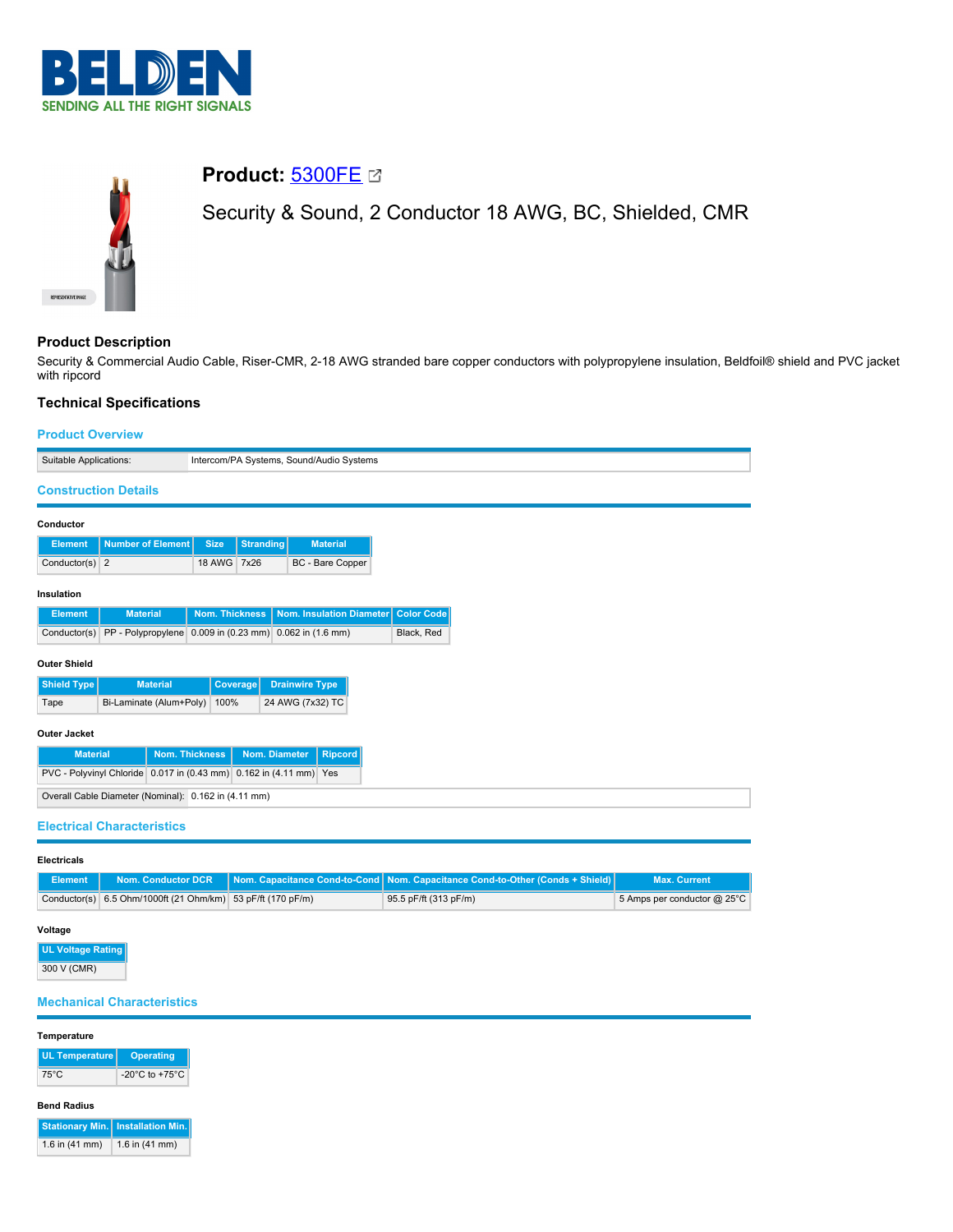



# **Product:** [5300FE](https://catalog.belden.com/index.cfm?event=pd&p=PF_5300FE&tab=downloads)

Security & Sound, 2 Conductor 18 AWG, BC, Shielded, CMR

## **Product Description**

Security & Commercial Audio Cable, Riser-CMR, 2-18 AWG stranded bare copper conductors with polypropylene insulation, Beldfoil® shield and PVC jacket with ripcord

## **Technical Specifications**

## **Product Overview**

| FIUUUL VVCIVICW                                      |                                                                                                            |  |  |
|------------------------------------------------------|------------------------------------------------------------------------------------------------------------|--|--|
| Suitable Applications:                               | Intercom/PA Systems, Sound/Audio Systems                                                                   |  |  |
| <b>Construction Details</b>                          |                                                                                                            |  |  |
| Conductor                                            |                                                                                                            |  |  |
| <b>Number of Element</b><br><b>Element</b>           | <b>Stranding</b><br><b>Material</b><br><b>Size</b>                                                         |  |  |
| Conductor(s) $2$                                     | 18 AWG 7x26<br>BC - Bare Copper                                                                            |  |  |
| Insulation                                           |                                                                                                            |  |  |
| <b>Material</b><br><b>Element</b>                    | <b>Nom. Thickness</b><br>Nom. Insulation Diameter<br><b>Color Code</b>                                     |  |  |
| Conductor(s)                                         | PP - Polypropylene 0.009 in (0.23 mm) 0.062 in (1.6 mm)<br>Black, Red                                      |  |  |
| <b>Outer Shield</b>                                  |                                                                                                            |  |  |
| Shield Type<br><b>Material</b>                       | <b>Drainwire Type</b><br>Coverage                                                                          |  |  |
| Bi-Laminate (Alum+Poly)<br>Tape                      | 24 AWG (7x32) TC<br>100%                                                                                   |  |  |
| <b>Outer Jacket</b>                                  |                                                                                                            |  |  |
| <b>Material</b>                                      | <b>Nom. Thickness</b><br>Nom. Diameter<br><b>Ripcord</b>                                                   |  |  |
|                                                      | PVC - Polyvinyl Chloride 0.017 in (0.43 mm) 0.162 in (4.11 mm) Yes                                         |  |  |
| Overall Cable Diameter (Nominal): 0.162 in (4.11 mm) |                                                                                                            |  |  |
| <b>Electrical Characteristics</b>                    |                                                                                                            |  |  |
| <b>Electricals</b>                                   |                                                                                                            |  |  |
| <b><i>CALCULATION COMPANY</i></b><br>$-1$            | أعتنوه والمناقص ومستحيل والمستحدث والمراقص والمستحدث<br>المتوارث والمستحيل والمتناقصة<br><b>STATISTICS</b> |  |  |

|                                                             | Element   Nom. Conductor DCR   Nom. Capacitance Cond-to-Cond   Nom. Capacitance Cond-to-Other (Conds + Shield) | <b>Max. Current</b>         |
|-------------------------------------------------------------|----------------------------------------------------------------------------------------------------------------|-----------------------------|
| Conductor(s) 6.5 Ohm/1000ft (21 Ohm/km) 53 pF/ft (170 pF/m) | 95.5 pF/ft (313 pF/m)                                                                                          | 5 Amps per conductor @ 25°C |

# **Voltage**

**UL Voltage Rating** 300 V (CMR)

## **Mechanical Characteristics**

### **Temperature**

| <b>UL Temperature</b> | <b>Operating</b>                     |
|-----------------------|--------------------------------------|
| 75°C                  | -20 $^{\circ}$ C to +75 $^{\circ}$ C |

#### **Bend Radius**

|                  | Stationary Min.   Installation Min. |  |  |
|------------------|-------------------------------------|--|--|
| 1.6 in $(41$ mm) | 1.6 in $(41$ mm)                    |  |  |